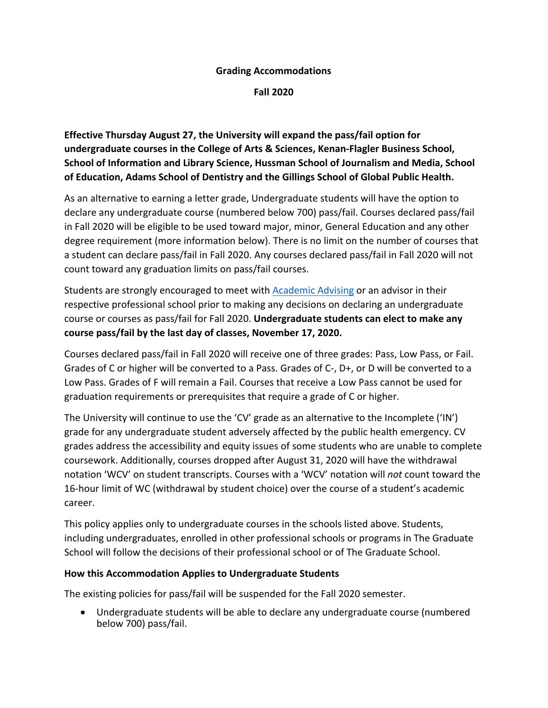## **Grading Accommodations**

**Fall 2020** 

**Effective Thursday August 27, the University will expand the pass/fail option for undergraduate courses in the College of Arts & Sciences, Kenan-Flagler Business School, School of Information and Library Science, Hussman School of Journalism and Media, School of Education, Adams School of Dentistry and the Gillings School of Global Public Health.**

As an alternative to earning a letter grade, Undergraduate students will have the option to declare any undergraduate course (numbered below 700) pass/fail. Courses declared pass/fail in Fall 2020 will be eligible to be used toward major, minor, General Education and any other degree requirement (more information below). There is no limit on the number of courses that a student can declare pass/fail in Fall 2020. Any courses declared pass/fail in Fall 2020 will not count toward any graduation limits on pass/fail courses.

Students are strongly encouraged to meet with Academic Advising or an advisor in their respective professional school prior to making any decisions on declaring an undergraduate course or courses as pass/fail for Fall 2020. **Undergraduate students can elect to make any course pass/fail by the last day of classes, November 17, 2020.**

Courses declared pass/fail in Fall 2020 will receive one of three grades: Pass, Low Pass, or Fail. Grades of C or higher will be converted to a Pass. Grades of C-, D+, or D will be converted to a Low Pass. Grades of F will remain a Fail. Courses that receive a Low Pass cannot be used for graduation requirements or prerequisites that require a grade of C or higher.

The University will continue to use the 'CV' grade as an alternative to the Incomplete ('IN') grade for any undergraduate student adversely affected by the public health emergency. CV grades address the accessibility and equity issues of some students who are unable to complete coursework. Additionally, courses dropped after August 31, 2020 will have the withdrawal notation 'WCV' on student transcripts. Courses with a 'WCV' notation will *not* count toward the 16-hour limit of WC (withdrawal by student choice) over the course of a student's academic career.

This policy applies only to undergraduate courses in the schools listed above. Students, including undergraduates, enrolled in other professional schools or programs in The Graduate School will follow the decisions of their professional school or of The Graduate School.

## **How this Accommodation Applies to Undergraduate Students**

The existing policies for pass/fail will be suspended for the Fall 2020 semester.

• Undergraduate students will be able to declare any undergraduate course (numbered below 700) pass/fail.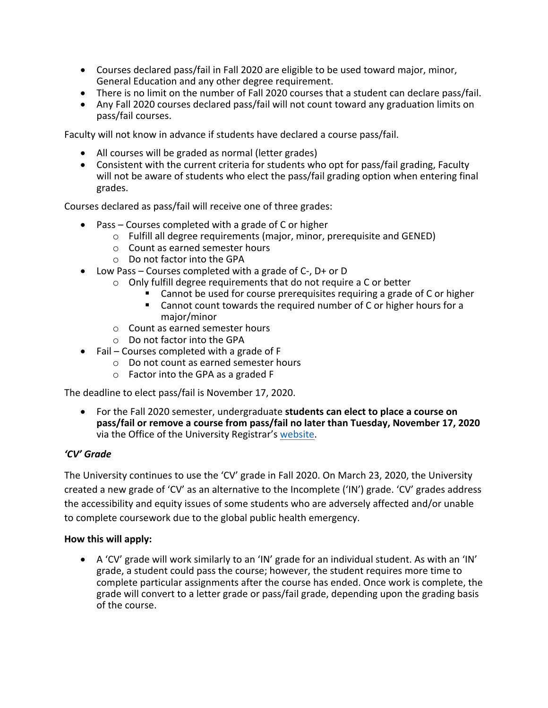- Courses declared pass/fail in Fall 2020 are eligible to be used toward major, minor, General Education and any other degree requirement.
- There is no limit on the number of Fall 2020 courses that a student can declare pass/fail.
- Any Fall 2020 courses declared pass/fail will not count toward any graduation limits on pass/fail courses.

Faculty will not know in advance if students have declared a course pass/fail.

- All courses will be graded as normal (letter grades)
- Consistent with the current criteria for students who opt for pass/fail grading, Faculty will not be aware of students who elect the pass/fail grading option when entering final grades.

Courses declared as pass/fail will receive one of three grades:

- Pass Courses completed with a grade of C or higher
	- o Fulfill all degree requirements (major, minor, prerequisite and GENED)
	- o Count as earned semester hours
	- o Do not factor into the GPA
- Low Pass Courses completed with a grade of C-, D+ or D
	- o Only fulfill degree requirements that do not require a C or better
		- Cannot be used for course prerequisites requiring a grade of C or higher
		- Cannot count towards the required number of C or higher hours for a major/minor
	- o Count as earned semester hours
	- o Do not factor into the GPA
- Fail Courses completed with a grade of F
	- o Do not count as earned semester hours
	- o Factor into the GPA as a graded F

The deadline to elect pass/fail is November 17, 2020.

• For the Fall 2020 semester, undergraduate **students can elect to place a course on pass/fail or remove a course from pass/fail no later than Tuesday, November 17, 2020** via the Office of the University Registrar's website.

## *'CV' Grade*

The University continues to use the 'CV' grade in Fall 2020. On March 23, 2020, the University created a new grade of 'CV' as an alternative to the Incomplete ('IN') grade. 'CV' grades address the accessibility and equity issues of some students who are adversely affected and/or unable to complete coursework due to the global public health emergency.

## **How this will apply:**

• A 'CV' grade will work similarly to an 'IN' grade for an individual student. As with an 'IN' grade, a student could pass the course; however, the student requires more time to complete particular assignments after the course has ended. Once work is complete, the grade will convert to a letter grade or pass/fail grade, depending upon the grading basis of the course.